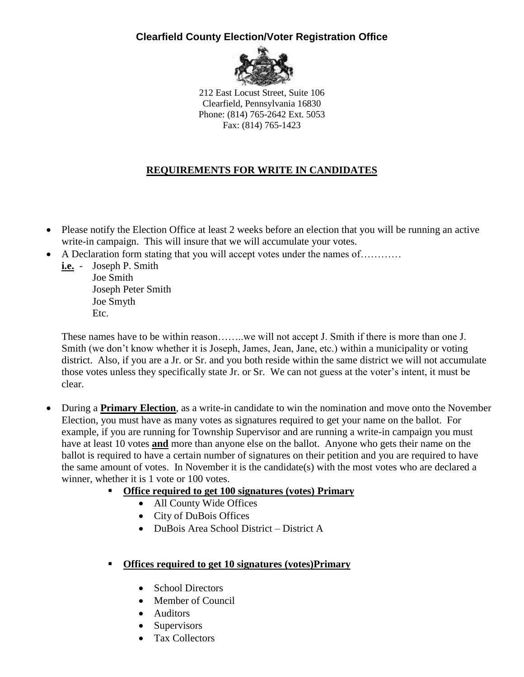## **Clearfield County Election/Voter Registration Office**



212 East Locust Street, Suite 106 Clearfield, Pennsylvania 16830 Phone: (814) 765-2642 Ext. 5053 Fax: (814) 765-1423

## **REQUIREMENTS FOR WRITE IN CANDIDATES**

- Please notify the Election Office at least 2 weeks before an election that you will be running an active write-in campaign. This will insure that we will accumulate your votes.
- A Declaration form stating that you will accept votes under the names of…………
	- **i.e.** Joseph P. Smith Joe Smith Joseph Peter Smith Joe Smyth Etc.

These names have to be within reason……..we will not accept J. Smith if there is more than one J. Smith (we don't know whether it is Joseph, James, Jean, Jane, etc.) within a municipality or voting district. Also, if you are a Jr. or Sr. and you both reside within the same district we will not accumulate those votes unless they specifically state Jr. or Sr. We can not guess at the voter's intent, it must be clear.

- During a **Primary Election**, as a write-in candidate to win the nomination and move onto the November Election, you must have as many votes as signatures required to get your name on the ballot. For example, if you are running for Township Supervisor and are running a write-in campaign you must have at least 10 votes **and** more than anyone else on the ballot. Anyone who gets their name on the ballot is required to have a certain number of signatures on their petition and you are required to have the same amount of votes. In November it is the candidate(s) with the most votes who are declared a winner, whether it is 1 vote or 100 votes.
	- **Office required to get 100 signatures (votes) Primary** 
		- All County Wide Offices
		- City of DuBois Offices
		- DuBois Area School District District A

## **Offices required to get 10 signatures (votes)Primary**

- School Directors
- Member of Council
- Auditors
- Supervisors
- Tax Collectors